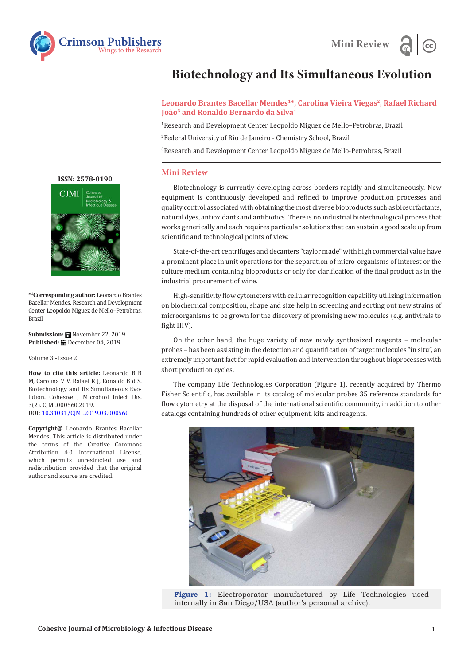



## **Biotechnology and Its Simultaneous Evolution**

## Leonardo Brantes Bacellar Mendes<sup>1\*</sup>, Carolina Vieira Viegas<sup>2</sup>, Rafael Richard **João3 and Ronaldo Bernardo da Silva4**

1 Research and Development Center Leopoldo Miguez de Mello–Petrobras, Brazil 2 Federal University of Rio de Janeiro - Chemistry School, Brazil

3 Research and Development Center Leopoldo Miguez de Mello-Petrobras, Brazil

## **Mini Review**

Biotechnology is currently developing across borders rapidly and simultaneously. New equipment is continuously developed and refined to improve production processes and quality control associated with obtaining the most diverse bioproducts such as biosurfactants, natural dyes, antioxidants and antibiotics. There is no industrial biotechnological process that works generically and each requires particular solutions that can sustain a good scale up from scientific and technological points of view.

State-of-the-art centrifuges and decanters "taylor made" with high commercial value have a prominent place in unit operations for the separation of micro-organisms of interest or the culture medium containing bioproducts or only for clarification of the final product as in the industrial procurement of wine.

High-sensitivity flow cytometers with cellular recognition capability utilizing information on biochemical composition, shape and size help in screening and sorting out new strains of microorganisms to be grown for the discovery of promising new molecules (e.g. antivirals to fight HIV).

On the other hand, the huge variety of new newly synthesized reagents – molecular probes – has been assisting in the detection and quantification of target molecules "in situ", an extremely important fact for rapid evaluation and intervention throughout bioprocesses with short production cycles.

The company Life Technologies Corporation (Figure 1), recently acquired by Thermo Fisher Scientific, has available in its catalog of molecular probes 35 reference standards for flow cytometry at the disposal of the international scientific community, in addition to other catalogs containing hundreds of other equipment, kits and reagents.



**Figure 1:** Electroporator manufactured by Life Technologies used internally in San Diego/USA (author's personal archive).

**[ISSN: 2578-0190](https://crimsonpublishers.com/cjmi/)**



**\*1 Corresponding author:** Leonardo Brantes Bacellar Mendes, Research and Development Center Leopoldo Miguez de Mello–Petrobras, Brazil

**Submission:** November 22, 2019 Published: **■** December 04, 2019

Volume 3 - Issue 2

**How to cite this article:** Leonardo B B M, Carolina V V, Rafael R J, Ronaldo B d S. Biotechnology and Its Simultaneous Evolution. Cohesive J Microbiol Infect Dis. 3(2). CJMI.000560.2019. DOI: [10.31031/CJMI.2019.03.000](http://dx.doi.org/10.31031/CJMI.2019.03.000560)560

**Copyright@** Leonardo Brantes Bacellar Mendes, This article is distributed under the terms of the Creative Commons Attribution 4.0 International License, which permits unrestricted use and redistribution provided that the original author and source are credited.